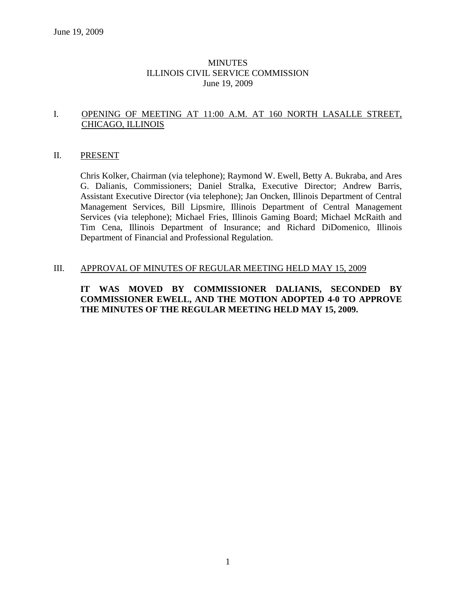## MINUTES ILLINOIS CIVIL SERVICE COMMISSION June 19, 2009

## I. OPENING OF MEETING AT 11:00 A.M. AT 160 NORTH LASALLE STREET, CHICAGO, ILLINOIS

### II. PRESENT

Chris Kolker, Chairman (via telephone); Raymond W. Ewell, Betty A. Bukraba, and Ares G. Dalianis, Commissioners; Daniel Stralka, Executive Director; Andrew Barris, Assistant Executive Director (via telephone); Jan Oncken, Illinois Department of Central Management Services, Bill Lipsmire, Illinois Department of Central Management Services (via telephone); Michael Fries, Illinois Gaming Board; Michael McRaith and Tim Cena, Illinois Department of Insurance; and Richard DiDomenico, Illinois Department of Financial and Professional Regulation.

#### III. APPROVAL OF MINUTES OF REGULAR MEETING HELD MAY 15, 2009

## **IT WAS MOVED BY COMMISSIONER DALIANIS, SECONDED BY COMMISSIONER EWELL, AND THE MOTION ADOPTED 4-0 TO APPROVE THE MINUTES OF THE REGULAR MEETING HELD MAY 15, 2009.**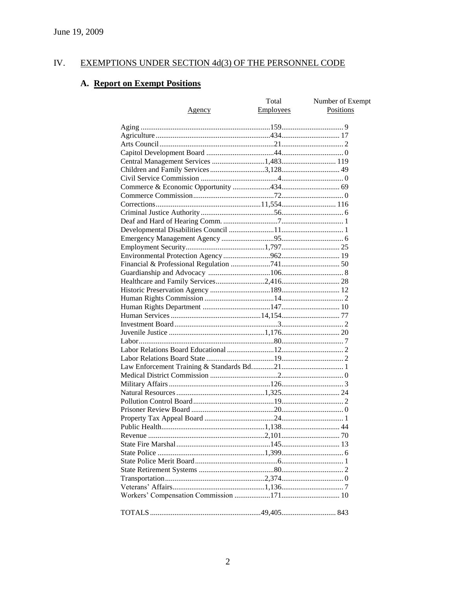#### IV. EXEMPTIONS UNDER SECTION 4d(3) OF THE PERSONNEL CODE

# A. Report on Exempt Positions

|                                       | Total     | Number of Exempt |
|---------------------------------------|-----------|------------------|
| Agency                                | Employees | Positions        |
|                                       |           |                  |
|                                       |           |                  |
|                                       |           |                  |
|                                       |           |                  |
|                                       |           |                  |
| Central Management Services 1,483 119 |           |                  |
| Children and Family Services 3,128 49 |           |                  |
|                                       |           |                  |
|                                       |           |                  |
|                                       |           |                  |
|                                       |           |                  |
|                                       |           |                  |
|                                       |           |                  |
|                                       |           |                  |
|                                       |           |                  |
|                                       |           |                  |
|                                       |           |                  |
|                                       |           |                  |
|                                       |           |                  |
|                                       |           |                  |
|                                       |           |                  |
|                                       |           |                  |
|                                       |           |                  |
|                                       |           |                  |
|                                       |           |                  |
|                                       |           |                  |
|                                       |           |                  |
|                                       |           |                  |
|                                       |           |                  |
|                                       |           |                  |
|                                       |           |                  |
|                                       |           |                  |
|                                       |           |                  |
|                                       |           |                  |
|                                       |           |                  |
|                                       |           |                  |
|                                       |           |                  |
|                                       |           |                  |
|                                       |           |                  |
|                                       |           |                  |
|                                       |           |                  |
|                                       |           |                  |
|                                       |           |                  |
|                                       |           |                  |
|                                       |           |                  |
|                                       |           |                  |
|                                       |           |                  |
|                                       |           |                  |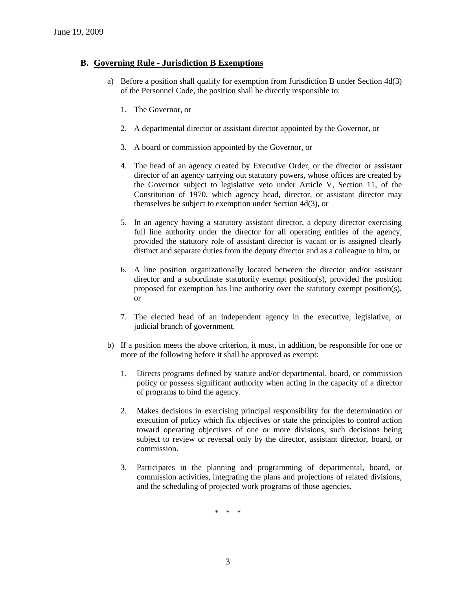## **B. Governing Rule - Jurisdiction B Exemptions**

- a) Before a position shall qualify for exemption from Jurisdiction B under Section 4d(3) of the Personnel Code, the position shall be directly responsible to:
	- 1. The Governor, or
	- 2. A departmental director or assistant director appointed by the Governor, or
	- 3. A board or commission appointed by the Governor, or
	- 4. The head of an agency created by Executive Order, or the director or assistant director of an agency carrying out statutory powers, whose offices are created by the Governor subject to legislative veto under Article V, Section 11, of the Constitution of 1970, which agency head, director, or assistant director may themselves be subject to exemption under Section 4d(3), or
	- 5. In an agency having a statutory assistant director, a deputy director exercising full line authority under the director for all operating entities of the agency, provided the statutory role of assistant director is vacant or is assigned clearly distinct and separate duties from the deputy director and as a colleague to him, or
	- 6. A line position organizationally located between the director and/or assistant director and a subordinate statutorily exempt position(s), provided the position proposed for exemption has line authority over the statutory exempt position(s), or
	- 7. The elected head of an independent agency in the executive, legislative, or judicial branch of government.
- b) If a position meets the above criterion, it must, in addition, be responsible for one or more of the following before it shall be approved as exempt:
	- 1. Directs programs defined by statute and/or departmental, board, or commission policy or possess significant authority when acting in the capacity of a director of programs to bind the agency.
	- 2. Makes decisions in exercising principal responsibility for the determination or execution of policy which fix objectives or state the principles to control action toward operating objectives of one or more divisions, such decisions being subject to review or reversal only by the director, assistant director, board, or commission.
	- 3. Participates in the planning and programming of departmental, board, or commission activities, integrating the plans and projections of related divisions, and the scheduling of projected work programs of those agencies.

\* \* \*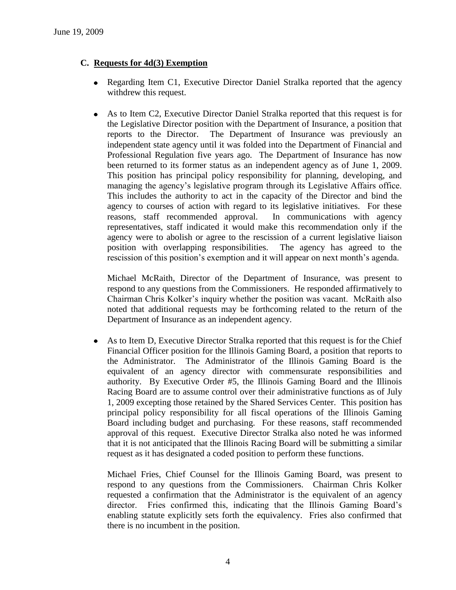## **C. Requests for 4d(3) Exemption**

- Regarding Item C1, Executive Director Daniel Stralka reported that the agency withdrew this request.
- As to Item C2, Executive Director Daniel Stralka reported that this request is for the Legislative Director position with the Department of Insurance, a position that reports to the Director. The Department of Insurance was previously an independent state agency until it was folded into the Department of Financial and Professional Regulation five years ago. The Department of Insurance has now been returned to its former status as an independent agency as of June 1, 2009. This position has principal policy responsibility for planning, developing, and managing the agency's legislative program through its Legislative Affairs office. This includes the authority to act in the capacity of the Director and bind the agency to courses of action with regard to its legislative initiatives. For these reasons, staff recommended approval. In communications with agency representatives, staff indicated it would make this recommendation only if the agency were to abolish or agree to the rescission of a current legislative liaison position with overlapping responsibilities. The agency has agreed to the rescission of this position's exemption and it will appear on next month's agenda.

Michael McRaith, Director of the Department of Insurance, was present to respond to any questions from the Commissioners. He responded affirmatively to Chairman Chris Kolker's inquiry whether the position was vacant. McRaith also noted that additional requests may be forthcoming related to the return of the Department of Insurance as an independent agency.

As to Item D, Executive Director Stralka reported that this request is for the Chief  $\bullet$ Financial Officer position for the Illinois Gaming Board, a position that reports to the Administrator. The Administrator of the Illinois Gaming Board is the equivalent of an agency director with commensurate responsibilities and authority. By Executive Order #5, the Illinois Gaming Board and the Illinois Racing Board are to assume control over their administrative functions as of July 1, 2009 excepting those retained by the Shared Services Center. This position has principal policy responsibility for all fiscal operations of the Illinois Gaming Board including budget and purchasing. For these reasons, staff recommended approval of this request. Executive Director Stralka also noted he was informed that it is not anticipated that the Illinois Racing Board will be submitting a similar request as it has designated a coded position to perform these functions.

Michael Fries, Chief Counsel for the Illinois Gaming Board, was present to respond to any questions from the Commissioners. Chairman Chris Kolker requested a confirmation that the Administrator is the equivalent of an agency director. Fries confirmed this, indicating that the Illinois Gaming Board's enabling statute explicitly sets forth the equivalency. Fries also confirmed that there is no incumbent in the position.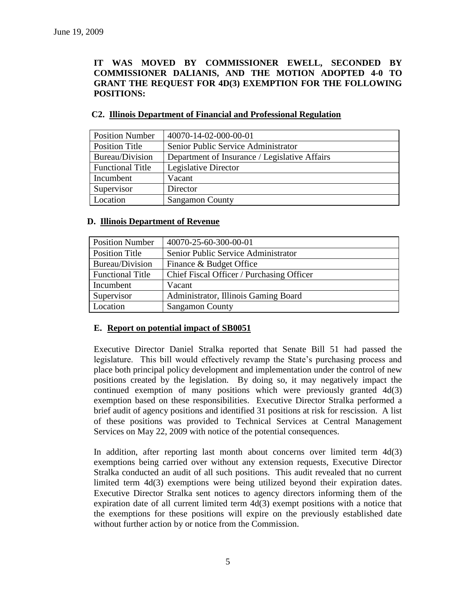## **IT WAS MOVED BY COMMISSIONER EWELL, SECONDED BY COMMISSIONER DALIANIS, AND THE MOTION ADOPTED 4-0 TO GRANT THE REQUEST FOR 4D(3) EXEMPTION FOR THE FOLLOWING POSITIONS:**

| <b>Position Number</b>  | 40070-14-02-000-00-01                         |
|-------------------------|-----------------------------------------------|
| <b>Position Title</b>   | Senior Public Service Administrator           |
| Bureau/Division         | Department of Insurance / Legislative Affairs |
| <b>Functional Title</b> | Legislative Director                          |
| Incumbent               | Vacant                                        |
| Supervisor              | Director                                      |
| Location                | <b>Sangamon County</b>                        |

## **C2. Illinois Department of Financial and Professional Regulation**

## **D. Illinois Department of Revenue**

| <b>Position Number</b>  | 40070-25-60-300-00-01                     |
|-------------------------|-------------------------------------------|
| <b>Position Title</b>   | Senior Public Service Administrator       |
| Bureau/Division         | Finance & Budget Office                   |
| <b>Functional Title</b> | Chief Fiscal Officer / Purchasing Officer |
| Incumbent               | Vacant                                    |
| Supervisor              | Administrator, Illinois Gaming Board      |
| Location                | <b>Sangamon County</b>                    |

## **E. Report on potential impact of SB0051**

Executive Director Daniel Stralka reported that Senate Bill 51 had passed the legislature. This bill would effectively revamp the State's purchasing process and place both principal policy development and implementation under the control of new positions created by the legislation. By doing so, it may negatively impact the continued exemption of many positions which were previously granted 4d(3) exemption based on these responsibilities. Executive Director Stralka performed a brief audit of agency positions and identified 31 positions at risk for rescission. A list of these positions was provided to Technical Services at Central Management Services on May 22, 2009 with notice of the potential consequences.

In addition, after reporting last month about concerns over limited term  $4d(3)$ exemptions being carried over without any extension requests, Executive Director Stralka conducted an audit of all such positions. This audit revealed that no current limited term 4d(3) exemptions were being utilized beyond their expiration dates. Executive Director Stralka sent notices to agency directors informing them of the expiration date of all current limited term 4d(3) exempt positions with a notice that the exemptions for these positions will expire on the previously established date without further action by or notice from the Commission.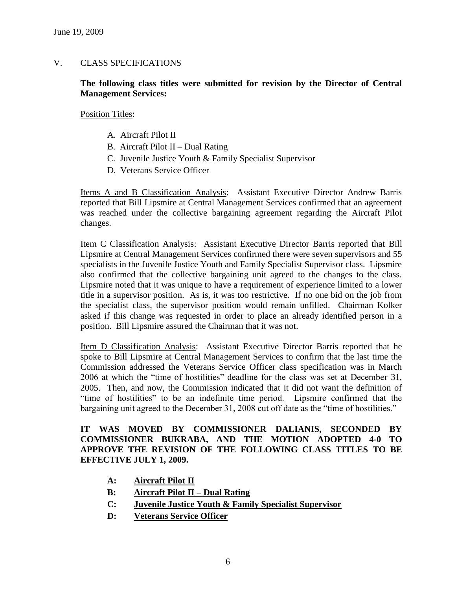## V. CLASS SPECIFICATIONS

## **The following class titles were submitted for revision by the Director of Central Management Services:**

Position Titles:

- A. Aircraft Pilot II
- B. Aircraft Pilot II Dual Rating
- C. Juvenile Justice Youth & Family Specialist Supervisor
- D. Veterans Service Officer

Items A and B Classification Analysis: Assistant Executive Director Andrew Barris reported that Bill Lipsmire at Central Management Services confirmed that an agreement was reached under the collective bargaining agreement regarding the Aircraft Pilot changes.

Item C Classification Analysis: Assistant Executive Director Barris reported that Bill Lipsmire at Central Management Services confirmed there were seven supervisors and 55 specialists in the Juvenile Justice Youth and Family Specialist Supervisor class. Lipsmire also confirmed that the collective bargaining unit agreed to the changes to the class. Lipsmire noted that it was unique to have a requirement of experience limited to a lower title in a supervisor position. As is, it was too restrictive. If no one bid on the job from the specialist class, the supervisor position would remain unfilled. Chairman Kolker asked if this change was requested in order to place an already identified person in a position. Bill Lipsmire assured the Chairman that it was not.

Item D Classification Analysis: Assistant Executive Director Barris reported that he spoke to Bill Lipsmire at Central Management Services to confirm that the last time the Commission addressed the Veterans Service Officer class specification was in March 2006 at which the "time of hostilities" deadline for the class was set at December 31, 2005. Then, and now, the Commission indicated that it did not want the definition of "time of hostilities" to be an indefinite time period. Lipsmire confirmed that the bargaining unit agreed to the December 31, 2008 cut off date as the "time of hostilities."

**IT WAS MOVED BY COMMISSIONER DALIANIS, SECONDED BY COMMISSIONER BUKRABA, AND THE MOTION ADOPTED 4-0 TO APPROVE THE REVISION OF THE FOLLOWING CLASS TITLES TO BE EFFECTIVE JULY 1, 2009.**

- **A: Aircraft Pilot II**
- **B: Aircraft Pilot II – Dual Rating**
- **C: Juvenile Justice Youth & Family Specialist Supervisor**
- **D: Veterans Service Officer**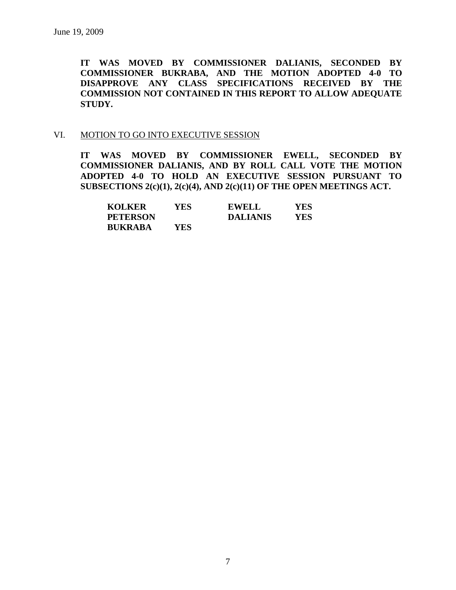**IT WAS MOVED BY COMMISSIONER DALIANIS, SECONDED BY COMMISSIONER BUKRABA, AND THE MOTION ADOPTED 4-0 TO DISAPPROVE ANY CLASS SPECIFICATIONS RECEIVED BY THE COMMISSION NOT CONTAINED IN THIS REPORT TO ALLOW ADEQUATE STUDY.** 

#### VI. MOTION TO GO INTO EXECUTIVE SESSION

**IT WAS MOVED BY COMMISSIONER EWELL, SECONDED BY COMMISSIONER DALIANIS, AND BY ROLL CALL VOTE THE MOTION ADOPTED 4-0 TO HOLD AN EXECUTIVE SESSION PURSUANT TO SUBSECTIONS 2(c)(1), 2(c)(4), AND 2(c)(11) OF THE OPEN MEETINGS ACT.** 

| <b>KOLKER</b>   | YES. | <b>EWELL</b>    | YES. |
|-----------------|------|-----------------|------|
| <b>PETERSON</b> |      | <b>DALIANIS</b> | YES. |
| <b>BUKRABA</b>  | YES. |                 |      |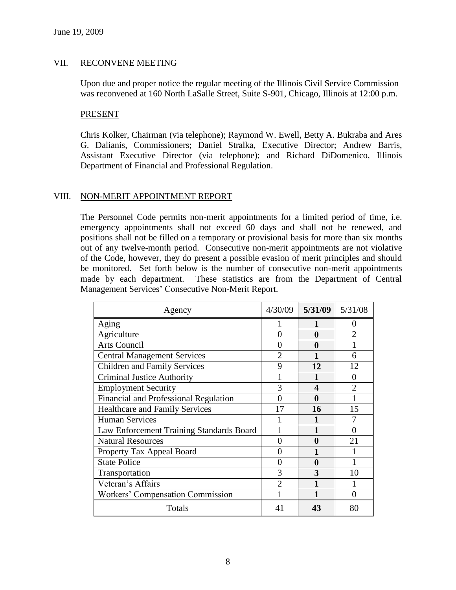## VII. RECONVENE MEETING

Upon due and proper notice the regular meeting of the Illinois Civil Service Commission was reconvened at 160 North LaSalle Street, Suite S-901, Chicago, Illinois at 12:00 p.m.

#### PRESENT

Chris Kolker, Chairman (via telephone); Raymond W. Ewell, Betty A. Bukraba and Ares G. Dalianis, Commissioners; Daniel Stralka, Executive Director; Andrew Barris, Assistant Executive Director (via telephone); and Richard DiDomenico, Illinois Department of Financial and Professional Regulation.

#### VIII. NON-MERIT APPOINTMENT REPORT

The Personnel Code permits non-merit appointments for a limited period of time, i.e. emergency appointments shall not exceed 60 days and shall not be renewed, and positions shall not be filled on a temporary or provisional basis for more than six months out of any twelve-month period. Consecutive non-merit appointments are not violative of the Code, however, they do present a possible evasion of merit principles and should be monitored. Set forth below is the number of consecutive non-merit appointments made by each department. These statistics are from the Department of Central Management Services' Consecutive Non-Merit Report.

| Agency                                   | 4/30/09        | 5/31/09      | 5/31/08        |
|------------------------------------------|----------------|--------------|----------------|
| Aging                                    |                |              | $_{0}$         |
| Agriculture                              | 0              | 0            | $\overline{2}$ |
| <b>Arts Council</b>                      | 0              | $\mathbf{0}$ |                |
| <b>Central Management Services</b>       | $\mathfrak{D}$ |              | 6              |
| <b>Children and Family Services</b>      | 9              | 12           | 12             |
| <b>Criminal Justice Authority</b>        |                |              | $\Omega$       |
| <b>Employment Security</b>               | 3              | Δ            | っ              |
| Financial and Professional Regulation    | 0              | 0            |                |
| <b>Healthcare and Family Services</b>    | 17             | 16           | 15             |
| <b>Human Services</b>                    |                |              |                |
| Law Enforcement Training Standards Board |                |              | 0              |
| <b>Natural Resources</b>                 | 0              | 0            | 21             |
| Property Tax Appeal Board                | 0              |              |                |
| <b>State Police</b>                      | 0              | 0            |                |
| Transportation                           | 3              | 3            | 10             |
| Veteran's Affairs                        | $\overline{2}$ |              |                |
| Workers' Compensation Commission         |                |              | 0              |
| Totals                                   | 41             | 43           | 80             |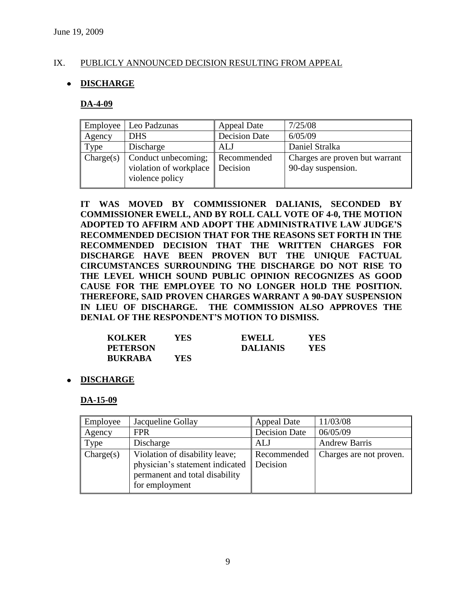## IX. PUBLICLY ANNOUNCED DECISION RESULTING FROM APPEAL

## **DISCHARGE**

#### **DA-4-09**

| Employee  | Leo Padzunas                                                     | <b>Appeal Date</b>      | 7/25/08                                              |
|-----------|------------------------------------------------------------------|-------------------------|------------------------------------------------------|
| Agency    | <b>DHS</b>                                                       | <b>Decision Date</b>    | 6/05/09                                              |
| Type      | Discharge                                                        | <b>ALJ</b>              | Daniel Stralka                                       |
| Change(s) | Conduct unbecoming;<br>violation of workplace<br>violence policy | Recommended<br>Decision | Charges are proven but warrant<br>90-day suspension. |

**IT WAS MOVED BY COMMISSIONER DALIANIS, SECONDED BY COMMISSIONER EWELL, AND BY ROLL CALL VOTE OF 4-0, THE MOTION ADOPTED TO AFFIRM AND ADOPT THE ADMINISTRATIVE LAW JUDGE'S RECOMMENDED DECISION THAT FOR THE REASONS SET FORTH IN THE RECOMMENDED DECISION THAT THE WRITTEN CHARGES FOR DISCHARGE HAVE BEEN PROVEN BUT THE UNIQUE FACTUAL CIRCUMSTANCES SURROUNDING THE DISCHARGE DO NOT RISE TO THE LEVEL WHICH SOUND PUBLIC OPINION RECOGNIZES AS GOOD CAUSE FOR THE EMPLOYEE TO NO LONGER HOLD THE POSITION. THEREFORE, SAID PROVEN CHARGES WARRANT A 90-DAY SUSPENSION IN LIEU OF DISCHARGE. THE COMMISSION ALSO APPROVES THE DENIAL OF THE RESPONDENT'S MOTION TO DISMISS.**

| <b>KOLKER</b>   | YES        | <b>EWELL</b>    | YES |
|-----------------|------------|-----------------|-----|
| <b>PETERSON</b> |            | <b>DALIANIS</b> | YES |
| <b>BUKRABA</b>  | <b>YES</b> |                 |     |

#### **DISCHARGE**

#### **DA-15-09**

| Employee  | Jacqueline Gollay                                                                                                     | <b>Appeal Date</b>             | 11/03/08                |
|-----------|-----------------------------------------------------------------------------------------------------------------------|--------------------------------|-------------------------|
| Agency    | <b>FPR</b>                                                                                                            | <b>Decision Date</b>           | 06/05/09                |
| Type      | Discharge                                                                                                             | ALJ                            | <b>Andrew Barris</b>    |
| Change(s) | Violation of disability leave;<br>physician's statement indicated<br>permanent and total disability<br>for employment | Recommended<br><b>Decision</b> | Charges are not proven. |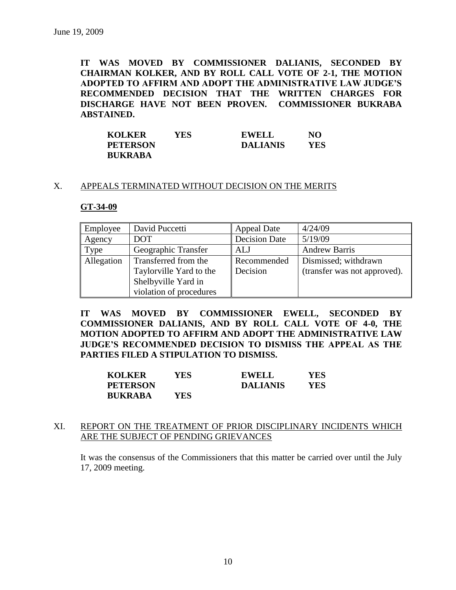**IT WAS MOVED BY COMMISSIONER DALIANIS, SECONDED BY CHAIRMAN KOLKER, AND BY ROLL CALL VOTE OF 2-1, THE MOTION ADOPTED TO AFFIRM AND ADOPT THE ADMINISTRATIVE LAW JUDGE'S RECOMMENDED DECISION THAT THE WRITTEN CHARGES FOR DISCHARGE HAVE NOT BEEN PROVEN. COMMISSIONER BUKRABA ABSTAINED.**

| <b>KOLKER</b>   | YES- | <b>EWELL</b>    | NO  |
|-----------------|------|-----------------|-----|
| <b>PETERSON</b> |      | <b>DALIANIS</b> | YES |
| <b>BUKRABA</b>  |      |                 |     |

#### X. APPEALS TERMINATED WITHOUT DECISION ON THE MERITS

#### **GT-34-09**

| Employee   | David Puccetti          | <b>Appeal Date</b>   | 4/24/09                      |
|------------|-------------------------|----------------------|------------------------------|
| Agency     | <b>DOT</b>              | <b>Decision Date</b> | 5/19/09                      |
| Type       | Geographic Transfer     | ALJ                  | <b>Andrew Barris</b>         |
| Allegation | Transferred from the    | Recommended          | Dismissed; withdrawn         |
|            | Taylorville Yard to the | Decision             | (transfer was not approved). |
|            | Shelbyville Yard in     |                      |                              |
|            | violation of procedures |                      |                              |

**IT WAS MOVED BY COMMISSIONER EWELL, SECONDED BY COMMISSIONER DALIANIS, AND BY ROLL CALL VOTE OF 4-0, THE MOTION ADOPTED TO AFFIRM AND ADOPT THE ADMINISTRATIVE LAW JUDGE'S RECOMMENDED DECISION TO DISMISS THE APPEAL AS THE PARTIES FILED A STIPULATION TO DISMISS.**

| <b>KOLKER</b>   | YES  | <b>EWELL</b>    | <b>YES</b> |
|-----------------|------|-----------------|------------|
| <b>PETERSON</b> |      | <b>DALIANIS</b> | YES        |
| <b>BUKRABA</b>  | YES. |                 |            |

#### XI. REPORT ON THE TREATMENT OF PRIOR DISCIPLINARY INCIDENTS WHICH ARE THE SUBJECT OF PENDING GRIEVANCES

It was the consensus of the Commissioners that this matter be carried over until the July 17, 2009 meeting.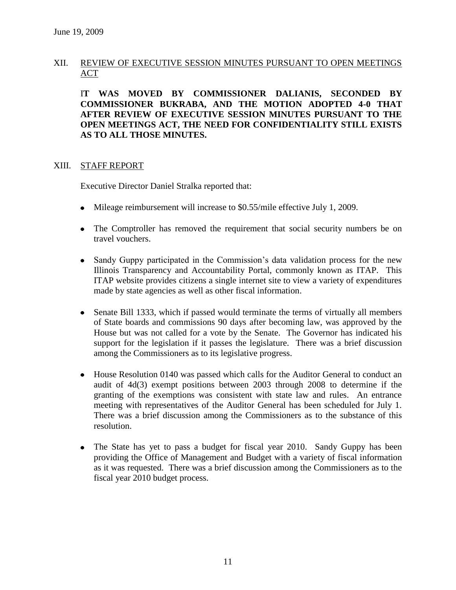## XII. REVIEW OF EXECUTIVE SESSION MINUTES PURSUANT TO OPEN MEETINGS ACT

I**T WAS MOVED BY COMMISSIONER DALIANIS, SECONDED BY COMMISSIONER BUKRABA, AND THE MOTION ADOPTED 4-0 THAT AFTER REVIEW OF EXECUTIVE SESSION MINUTES PURSUANT TO THE OPEN MEETINGS ACT, THE NEED FOR CONFIDENTIALITY STILL EXISTS AS TO ALL THOSE MINUTES.**

#### XIII. STAFF REPORT

Executive Director Daniel Stralka reported that:

- Mileage reimbursement will increase to \$0.55/mile effective July 1, 2009.
- The Comptroller has removed the requirement that social security numbers be on travel vouchers.
- Sandy Guppy participated in the Commission's data validation process for the new Illinois Transparency and Accountability Portal, commonly known as ITAP. This ITAP website provides citizens a single internet site to view a variety of expenditures made by state agencies as well as other fiscal information.
- Senate Bill 1333, which if passed would terminate the terms of virtually all members  $\bullet$ of State boards and commissions 90 days after becoming law, was approved by the House but was not called for a vote by the Senate. The Governor has indicated his support for the legislation if it passes the legislature. There was a brief discussion among the Commissioners as to its legislative progress.
- House Resolution 0140 was passed which calls for the Auditor General to conduct an audit of 4d(3) exempt positions between 2003 through 2008 to determine if the granting of the exemptions was consistent with state law and rules. An entrance meeting with representatives of the Auditor General has been scheduled for July 1. There was a brief discussion among the Commissioners as to the substance of this resolution.
- The State has yet to pass a budget for fiscal year 2010. Sandy Guppy has been  $\bullet$ providing the Office of Management and Budget with a variety of fiscal information as it was requested. There was a brief discussion among the Commissioners as to the fiscal year 2010 budget process.